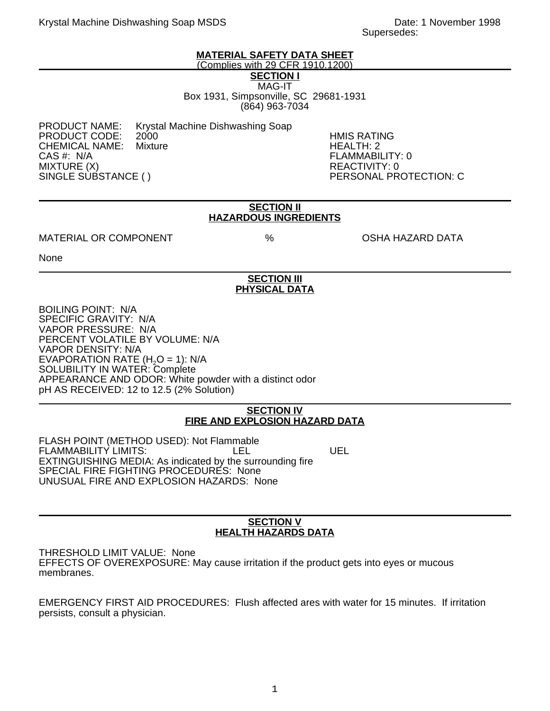## **MATERIAL SAFETY DATA SHEET**

(Complies with 29 CFR 1910.1200)

**SECTION I** MAG-IT

Box 1931, Simpsonville, SC 29681-1931 (864) 963-7034

PRODUCT CODE: 2000 HMIS RATING CHEMICAL NAME:<br>CAS #: N/A MIXTURE (X)<br>SINGLE SUBSTANCE ( ) REACTIVITY: 0

PRODUCT NAME: Krystal Machine Dishwashing Soap

FLAMMABILITY: 0 PERSONAL PROTECTION: C

#### **SECTION II HAZARDOUS INGREDIENTS**

## MATERIAL OR COMPONENT  $\%$  % OSHA HAZARD DATA

None

# **SECTION III PHYSICAL DATA**

BOILING POINT: N/A SPECIFIC GRAVITY: N/A VAPOR PRESSURE: N/A PERCENT VOLATILE BY VOLUME: N/A VAPOR DENSITY: N/A EVAPORATION RATE  $(H<sub>2</sub>O = 1)$ : N/A SOLUBILITY IN WATER: Complete APPEARANCE AND ODOR: White powder with a distinct odor pH AS RECEIVED: 12 to 12.5 (2% Solution)

## **SECTION IV FIRE AND EXPLOSION HAZARD DATA**

FLASH POINT (METHOD USED): Not Flammable FLAMMABILITY LIMITS: LEL LEL UEL EXTINGUISHING MEDIA: As indicated by the surrounding fire SPECIAL FIRE FIGHTING PROCEDURES: None UNUSUAL FIRE AND EXPLOSION HAZARDS: None

#### **SECTION V HEALTH HAZARDS DATA**

THRESHOLD LIMIT VALUE: None EFFECTS OF OVEREXPOSURE: May cause irritation if the product gets into eyes or mucous membranes.

EMERGENCY FIRST AID PROCEDURES: Flush affected ares with water for 15 minutes. If irritation persists, consult a physician.